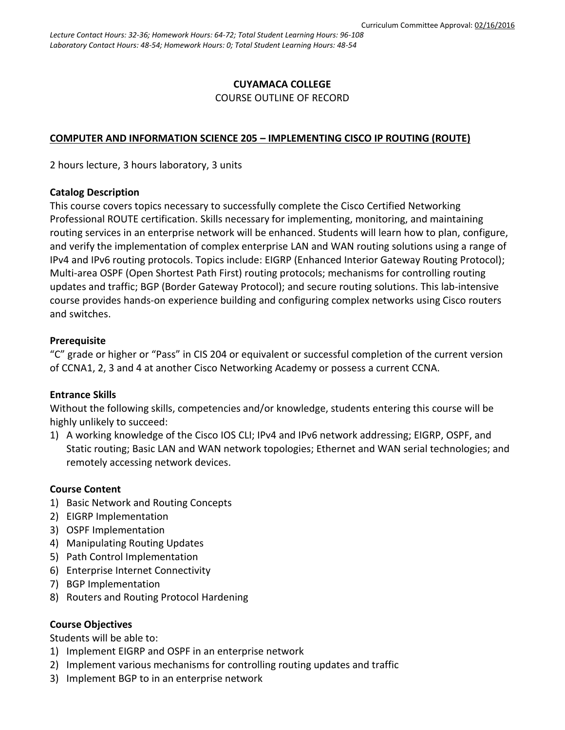## **CUYAMACA COLLEGE** COURSE OUTLINE OF RECORD

### **COMPUTER AND INFORMATION SCIENCE 205 – IMPLEMENTING CISCO IP ROUTING (ROUTE)**

2 hours lecture, 3 hours laboratory, 3 units

#### **Catalog Description**

This course covers topics necessary to successfully complete the Cisco Certified Networking Professional ROUTE certification. Skills necessary for implementing, monitoring, and maintaining routing services in an enterprise network will be enhanced. Students will learn how to plan, configure, and verify the implementation of complex enterprise LAN and WAN routing solutions using a range of IPv4 and IPv6 routing protocols. Topics include: EIGRP (Enhanced Interior Gateway Routing Protocol); Multi-area OSPF (Open Shortest Path First) routing protocols; mechanisms for controlling routing updates and traffic; BGP (Border Gateway Protocol); and secure routing solutions. This lab-intensive course provides hands-on experience building and configuring complex networks using Cisco routers and switches.

#### **Prerequisite**

"C" grade or higher or "Pass" in CIS 204 or equivalent or successful completion of the current version of CCNA1, 2, 3 and 4 at another Cisco Networking Academy or possess a current CCNA.

### **Entrance Skills**

Without the following skills, competencies and/or knowledge, students entering this course will be highly unlikely to succeed:

1) A working knowledge of the Cisco IOS CLI; IPv4 and IPv6 network addressing; EIGRP, OSPF, and Static routing; Basic LAN and WAN network topologies; Ethernet and WAN serial technologies; and remotely accessing network devices.

#### **Course Content**

- 1) Basic Network and Routing Concepts
- 2) EIGRP Implementation
- 3) OSPF Implementation
- 4) Manipulating Routing Updates
- 5) Path Control Implementation
- 6) Enterprise Internet Connectivity
- 7) BGP Implementation
- 8) Routers and Routing Protocol Hardening

### **Course Objectives**

Students will be able to:

- 1) Implement EIGRP and OSPF in an enterprise network
- 2) Implement various mechanisms for controlling routing updates and traffic
- 3) Implement BGP to in an enterprise network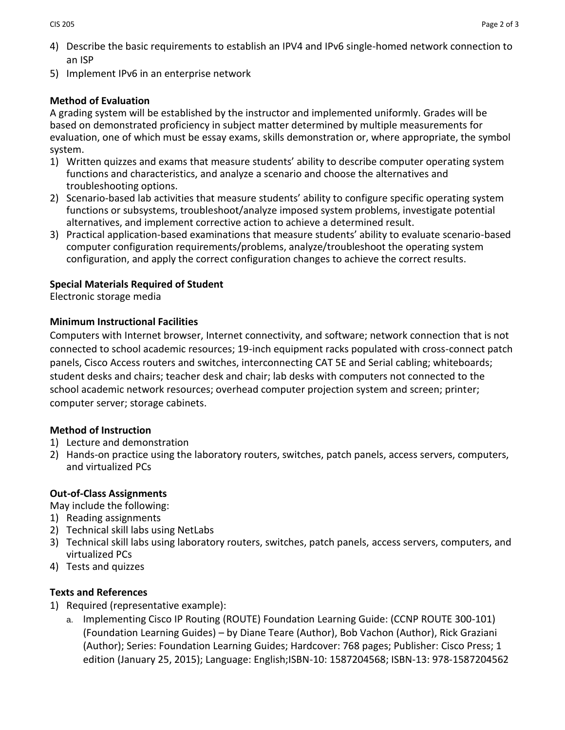- 4) Describe the basic requirements to establish an IPV4 and IPv6 single-homed network connection to an ISP
- 5) Implement IPv6 in an enterprise network

# **Method of Evaluation**

A grading system will be established by the instructor and implemented uniformly. Grades will be based on demonstrated proficiency in subject matter determined by multiple measurements for evaluation, one of which must be essay exams, skills demonstration or, where appropriate, the symbol system.

- 1) Written quizzes and exams that measure students' ability to describe computer operating system functions and characteristics, and analyze a scenario and choose the alternatives and troubleshooting options.
- 2) Scenario-based lab activities that measure students' ability to configure specific operating system functions or subsystems, troubleshoot/analyze imposed system problems, investigate potential alternatives, and implement corrective action to achieve a determined result.
- 3) Practical application-based examinations that measure students' ability to evaluate scenario-based computer configuration requirements/problems, analyze/troubleshoot the operating system configuration, and apply the correct configuration changes to achieve the correct results.

# **Special Materials Required of Student**

Electronic storage media

# **Minimum Instructional Facilities**

Computers with Internet browser, Internet connectivity, and software; network connection that is not connected to school academic resources; 19-inch equipment racks populated with cross-connect patch panels, Cisco Access routers and switches, interconnecting CAT 5E and Serial cabling; whiteboards; student desks and chairs; teacher desk and chair; lab desks with computers not connected to the school academic network resources; overhead computer projection system and screen; printer; computer server; storage cabinets.

# **Method of Instruction**

- 1) Lecture and demonstration
- 2) Hands-on practice using the laboratory routers, switches, patch panels, access servers, computers, and virtualized PCs

# **Out-of-Class Assignments**

May include the following:

- 1) Reading assignments
- 2) Technical skill labs using NetLabs
- 3) Technical skill labs using laboratory routers, switches, patch panels, access servers, computers, and virtualized PCs
- 4) Tests and quizzes

# **Texts and References**

- 1) Required (representative example):
	- a. Implementing Cisco IP Routing (ROUTE) Foundation Learning Guide: (CCNP ROUTE 300-101) (Foundation Learning Guides) – by Diane Teare (Author), Bob Vachon (Author), Rick Graziani (Author); Series: Foundation Learning Guides; Hardcover: 768 pages; Publisher: Cisco Press; 1 edition (January 25, 2015); Language: English;ISBN-10: 1587204568; ISBN-13: 978-1587204562